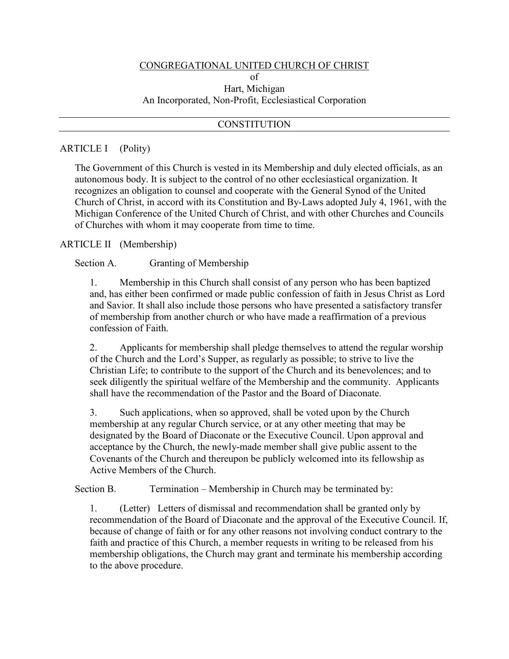#### CONGREGATIONAL UNITED CHURCH OF CHRIST

## of Hart, Michigan An Incorporated, Non-Profit, Ecclesiastical Corporation

### **CONSTITUTION**

#### ARTICLE I (Polity)

The Government of this Church is vested in its Membership and duly elected officials, as an autonomous body. It is subject to the control of no other ecclesiastical organization. It recognizes an obligation to counsel and cooperate with the General Synod of the United Church of Christ, in accord with its Constitution and By-Laws adopted July 4, 1961, with the Michigan Conference of the United Church of Christ, and with other Churches and Councils of Churches with whom it may cooperate from time to time.

#### ARTICLE II (Membership)

Section A. Granting of Membership

1. Membership in this Church shall consist of any person who has been baptized and, has either been confirmed or made public confession of faith in Jesus Christ as Lord and Savior. It shall also include those persons who have presented a satisfactory transfer of membership from another church or who have made a reaffirmation of a previous confession of Faith.

2. Applicants for membership shall pledge themselves to attend the regular worship of the Church and the Lord's Supper, as regularly as possible; to strive to live the Christian Life; to contribute to the support of the Church and its benevolences; and to seek diligently the spiritual welfare of the Membership and the community. Applicants shall have the recommendation of the Pastor and the Board of Diaconate.

3. Such applications, when so approved, shall be voted upon by the Church membership at any regular Church service, or at any other meeting that may be designated by the Board of Diaconate or the Executive Council. Upon approval and acceptance by the Church, the newly-made member shall give public assent to the Covenants of the Church and thereupon be publicly welcomed into its fellowship as Active Members of the Church.

Section B. Termination – Membership in Church may be terminated by:

1. (Letter) Letters of dismissal and recommendation shall be granted only by recommendation of the Board of Diaconate and the approval of the Executive Council. If, because of change of faith or for any other reasons not involving conduct contrary to the faith and practice of this Church, a member requests in writing to be released from his membership obligations, the Church may grant and terminate his membership according to the above procedure.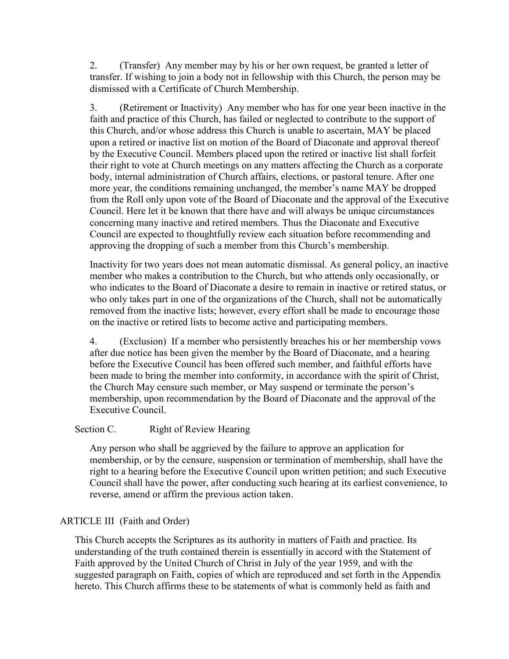2. (Transfer) Any member may by his or her own request, be granted a letter of transfer. If wishing to join a body not in fellowship with this Church, the person may be dismissed with a Certificate of Church Membership.

3. (Retirement or Inactivity) Any member who has for one year been inactive in the faith and practice of this Church, has failed or neglected to contribute to the support of this Church, and/or whose address this Church is unable to ascertain, MAY be placed upon a retired or inactive list on motion of the Board of Diaconate and approval thereof by the Executive Council. Members placed upon the retired or inactive list shall forfeit their right to vote at Church meetings on any matters affecting the Church as a corporate body, internal administration of Church affairs, elections, or pastoral tenure. After one more year, the conditions remaining unchanged, the member's name MAY be dropped from the Roll only upon vote of the Board of Diaconate and the approval of the Executive Council. Here let it be known that there have and will always be unique circumstances concerning many inactive and retired members. Thus the Diaconate and Executive Council are expected to thoughtfully review each situation before recommending and approving the dropping of such a member from this Church's membership.

Inactivity for two years does not mean automatic dismissal. As general policy, an inactive member who makes a contribution to the Church, but who attends only occasionally, or who indicates to the Board of Diaconate a desire to remain in inactive or retired status, or who only takes part in one of the organizations of the Church, shall not be automatically removed from the inactive lists; however, every effort shall be made to encourage those on the inactive or retired lists to become active and participating members.

4. (Exclusion) If a member who persistently breaches his or her membership vows after due notice has been given the member by the Board of Diaconate, and a hearing before the Executive Council has been offered such member, and faithful efforts have been made to bring the member into conformity, in accordance with the spirit of Christ, the Church May censure such member, or May suspend or terminate the person's membership, upon recommendation by the Board of Diaconate and the approval of the Executive Council.

# Section C. Right of Review Hearing

Any person who shall be aggrieved by the failure to approve an application for membership, or by the censure, suspension or termination of membership, shall have the right to a hearing before the Executive Council upon written petition; and such Executive Council shall have the power, after conducting such hearing at its earliest convenience, to reverse, amend or affirm the previous action taken.

# ARTICLE III (Faith and Order)

This Church accepts the Scriptures as its authority in matters of Faith and practice. Its understanding of the truth contained therein is essentially in accord with the Statement of Faith approved by the United Church of Christ in July of the year 1959, and with the suggested paragraph on Faith, copies of which are reproduced and set forth in the Appendix hereto. This Church affirms these to be statements of what is commonly held as faith and